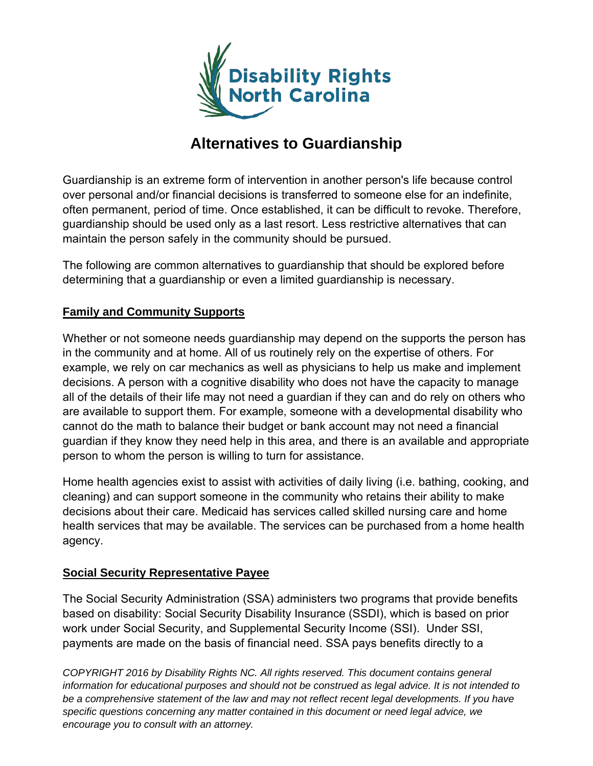

# **Alternatives to Guardianship**

Guardianship is an extreme form of intervention in another person's life because control over personal and/or financial decisions is transferred to someone else for an indefinite, often permanent, period of time. Once established, it can be difficult to revoke. Therefore, guardianship should be used only as a last resort. Less restrictive alternatives that can maintain the person safely in the community should be pursued.

The following are common alternatives to guardianship that should be explored before determining that a guardianship or even a limited guardianship is necessary.

#### **Family and Community Supports**

Whether or not someone needs guardianship may depend on the supports the person has in the community and at home. All of us routinely rely on the expertise of others. For example, we rely on car mechanics as well as physicians to help us make and implement decisions. A person with a cognitive disability who does not have the capacity to manage all of the details of their life may not need a guardian if they can and do rely on others who are available to support them. For example, someone with a developmental disability who cannot do the math to balance their budget or bank account may not need a financial guardian if they know they need help in this area, and there is an available and appropriate person to whom the person is willing to turn for assistance.

Home health agencies exist to assist with activities of daily living (i.e. bathing, cooking, and cleaning) and can support someone in the community who retains their ability to make decisions about their care. Medicaid has services called skilled nursing care and home health services that may be available. The services can be purchased from a home health agency.

#### **Social Security Representative Payee**

The Social Security Administration (SSA) administers two programs that provide benefits based on disability: Social Security Disability Insurance (SSDI), which is based on prior work under Social Security, and Supplemental Security Income (SSI). Under SSI, payments are made on the basis of financial need. SSA pays benefits directly to a

*COPYRIGHT 2016 by Disability Rights NC. All rights reserved. This document contains general information for educational purposes and should not be construed as legal advice. It is not intended to*  be a comprehensive statement of the law and may not reflect recent legal developments. If you have *specific questions concerning any matter contained in this document or need legal advice, we encourage you to consult with an attorney.*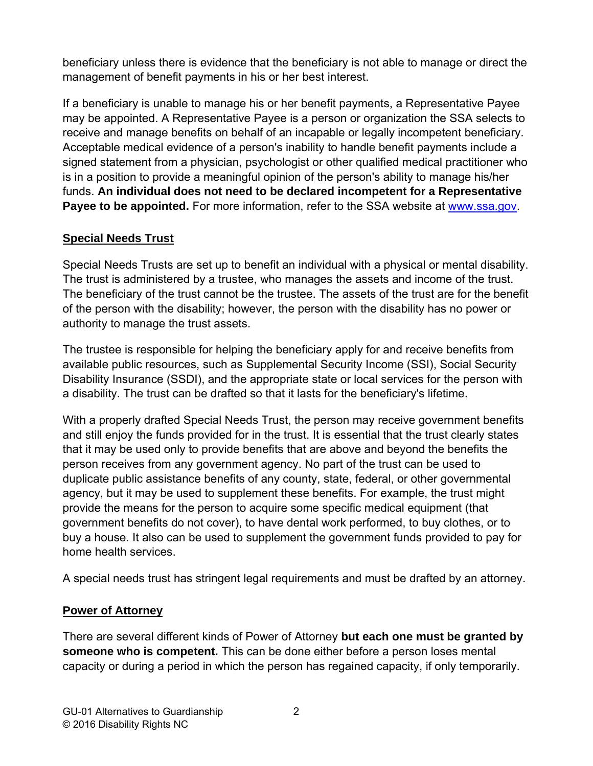beneficiary unless there is evidence that the beneficiary is not able to manage or direct the management of benefit payments in his or her best interest.

If a beneficiary is unable to manage his or her benefit payments, a Representative Payee may be appointed. A Representative Payee is a person or organization the SSA selects to receive and manage benefits on behalf of an incapable or legally incompetent beneficiary. Acceptable medical evidence of a person's inability to handle benefit payments include a signed statement from a physician, psychologist or other qualified medical practitioner who is in a position to provide a meaningful opinion of the person's ability to manage his/her funds. **An individual does not need to be declared incompetent for a Representative Payee to be appointed.** For more information, refer to the SSA website at [www.ssa.gov.](http://www.ssa.gov/)

#### **Special Needs Trust**

Special Needs Trusts are set up to benefit an individual with a physical or mental disability. The trust is administered by a trustee, who manages the assets and income of the trust. The beneficiary of the trust cannot be the trustee. The assets of the trust are for the benefit of the person with the disability; however, the person with the disability has no power or authority to manage the trust assets.

The trustee is responsible for helping the beneficiary apply for and receive benefits from available public resources, such as Supplemental Security Income (SSI), Social Security Disability Insurance (SSDI), and the appropriate state or local services for the person with a disability. The trust can be drafted so that it lasts for the beneficiary's lifetime.

With a properly drafted Special Needs Trust, the person may receive government benefits and still enjoy the funds provided for in the trust. It is essential that the trust clearly states that it may be used only to provide benefits that are above and beyond the benefits the person receives from any government agency. No part of the trust can be used to duplicate public assistance benefits of any county, state, federal, or other governmental agency, but it may be used to supplement these benefits. For example, the trust might provide the means for the person to acquire some specific medical equipment (that government benefits do not cover), to have dental work performed, to buy clothes, or to buy a house. It also can be used to supplement the government funds provided to pay for home health services.

A special needs trust has stringent legal requirements and must be drafted by an attorney.

### **Power of Attorney**

There are several different kinds of Power of Attorney **but each one must be granted by someone who is competent.** This can be done either before a person loses mental capacity or during a period in which the person has regained capacity, if only temporarily.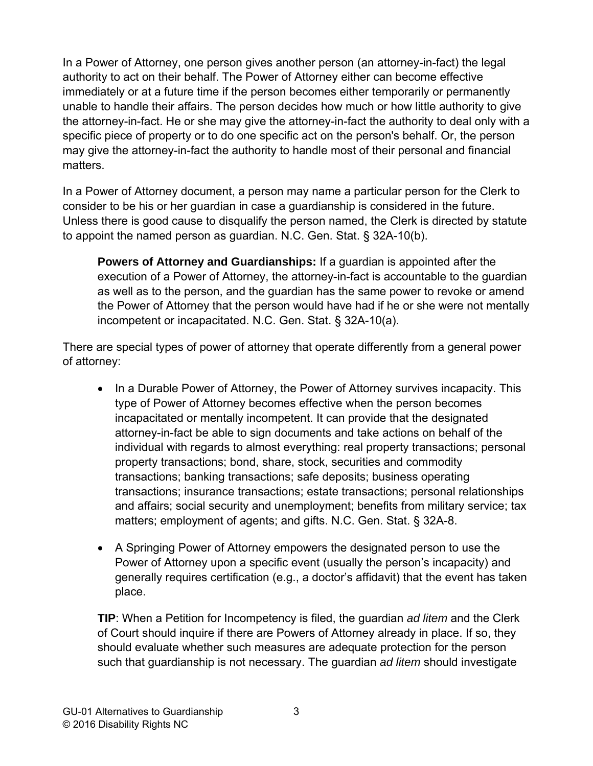In a Power of Attorney, one person gives another person (an attorney-in-fact) the legal authority to act on their behalf. The Power of Attorney either can become effective immediately or at a future time if the person becomes either temporarily or permanently unable to handle their affairs. The person decides how much or how little authority to give the attorney-in-fact. He or she may give the attorney-in-fact the authority to deal only with a specific piece of property or to do one specific act on the person's behalf. Or, the person may give the attorney-in-fact the authority to handle most of their personal and financial matters.

In a Power of Attorney document, a person may name a particular person for the Clerk to consider to be his or her guardian in case a guardianship is considered in the future. Unless there is good cause to disqualify the person named, the Clerk is directed by statute to appoint the named person as guardian. N.C. Gen. Stat. § 32A-10(b).

**Powers of Attorney and Guardianships:** If a guardian is appointed after the execution of a Power of Attorney, the attorney-in-fact is accountable to the guardian as well as to the person, and the guardian has the same power to revoke or amend the Power of Attorney that the person would have had if he or she were not mentally incompetent or incapacitated. N.C. Gen. Stat. § 32A-10(a).

There are special types of power of attorney that operate differently from a general power of attorney:

- In a Durable Power of Attorney, the Power of Attorney survives incapacity. This type of Power of Attorney becomes effective when the person becomes incapacitated or mentally incompetent. It can provide that the designated attorney-in-fact be able to sign documents and take actions on behalf of the individual with regards to almost everything: real property transactions; personal property transactions; bond, share, stock, securities and commodity transactions; banking transactions; safe deposits; business operating transactions; insurance transactions; estate transactions; personal relationships and affairs; social security and unemployment; benefits from military service; tax matters; employment of agents; and gifts. N.C. Gen. Stat. § 32A-8.
- A Springing Power of Attorney empowers the designated person to use the Power of Attorney upon a specific event (usually the person's incapacity) and generally requires certification (e.g., a doctor's affidavit) that the event has taken place.

**TIP**: When a Petition for Incompetency is filed, the guardian *ad litem* and the Clerk of Court should inquire if there are Powers of Attorney already in place. If so, they should evaluate whether such measures are adequate protection for the person such that guardianship is not necessary. The guardian *ad litem* should investigate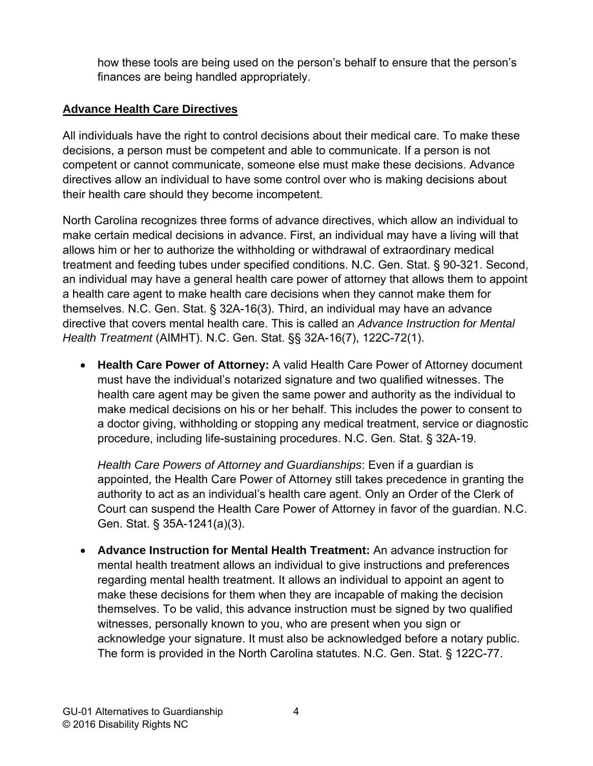how these tools are being used on the person's behalf to ensure that the person's finances are being handled appropriately.

## **Advance Health Care Directives**

All individuals have the right to control decisions about their medical care. To make these decisions, a person must be competent and able to communicate. If a person is not competent or cannot communicate, someone else must make these decisions. Advance directives allow an individual to have some control over who is making decisions about their health care should they become incompetent.

North Carolina recognizes three forms of advance directives, which allow an individual to make certain medical decisions in advance. First, an individual may have a living will that allows him or her to authorize the withholding or withdrawal of extraordinary medical treatment and feeding tubes under specified conditions. N.C. Gen. Stat. § 90-321. Second, an individual may have a general health care power of attorney that allows them to appoint a health care agent to make health care decisions when they cannot make them for themselves. N.C. Gen. Stat. § 32A-16(3). Third, an individual may have an advance directive that covers mental health care. This is called an *Advance Instruction for Mental Health Treatment* (AIMHT). N.C. Gen. Stat. §§ 32A-16(7), 122C-72(1).

 **Health Care Power of Attorney:** A valid Health Care Power of Attorney document must have the individual's notarized signature and two qualified witnesses. The health care agent may be given the same power and authority as the individual to make medical decisions on his or her behalf. This includes the power to consent to a doctor giving, withholding or stopping any medical treatment, service or diagnostic procedure, including life-sustaining procedures. N.C. Gen. Stat. § 32A-19.

*Health Care Powers of Attorney and Guardianships*: Even if a guardian is appointed, the Health Care Power of Attorney still takes precedence in granting the authority to act as an individual's health care agent. Only an Order of the Clerk of Court can suspend the Health Care Power of Attorney in favor of the guardian. N.C. Gen. Stat. § 35A-1241(a)(3).

 **Advance Instruction for Mental Health Treatment:** An advance instruction for mental health treatment allows an individual to give instructions and preferences regarding mental health treatment. It allows an individual to appoint an agent to make these decisions for them when they are incapable of making the decision themselves. To be valid, this advance instruction must be signed by two qualified witnesses, personally known to you, who are present when you sign or acknowledge your signature. It must also be acknowledged before a notary public. The form is provided in the North Carolina statutes. N.C. Gen. Stat. § 122C-77.